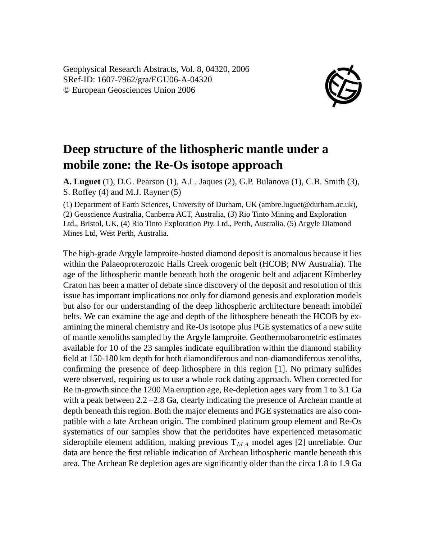Geophysical Research Abstracts, Vol. 8, 04320, 2006 SRef-ID: 1607-7962/gra/EGU06-A-04320 © European Geosciences Union 2006



## **Deep structure of the lithospheric mantle under a mobile zone: the Re-Os isotope approach**

**A. Luguet** (1), D.G. Pearson (1), A.L. Jaques (2), G.P. Bulanova (1), C.B. Smith (3), S. Roffey (4) and M.J. Rayner (5)

(1) Department of Earth Sciences, University of Durham, UK (ambre.luguet@durham.ac.uk), (2) Geoscience Australia, Canberra ACT, Australia, (3) Rio Tinto Mining and Exploration Ltd., Bristol, UK, (4) Rio Tinto Exploration Pty. Ltd., Perth, Australia, (5) Argyle Diamond Mines Ltd, West Perth, Australia.

The high-grade Argyle lamproite-hosted diamond deposit is anomalous because it lies within the Palaeoproterozoic Halls Creek orogenic belt (HCOB; NW Australia). The age of the lithospheric mantle beneath both the orogenic belt and adjacent Kimberley Craton has been a matter of debate since discovery of the deposit and resolution of this issue has important implications not only for diamond genesis and exploration models but also for our understanding of the deep lithospheric architecture beneath ìmobileî belts. We can examine the age and depth of the lithosphere beneath the HCOB by examining the mineral chemistry and Re-Os isotope plus PGE systematics of a new suite of mantle xenoliths sampled by the Argyle lamproite. Geothermobarometric estimates available for 10 of the 23 samples indicate equilibration within the diamond stability field at 150-180 km depth for both diamondiferous and non-diamondiferous xenoliths, confirming the presence of deep lithosphere in this region [1]. No primary sulfides were observed, requiring us to use a whole rock dating approach. When corrected for Re in-growth since the 1200 Ma eruption age, Re-depletion ages vary from 1 to 3.1 Ga with a peak between 2.2 –2.8 Ga, clearly indicating the presence of Archean mantle at depth beneath this region. Both the major elements and PGE systematics are also compatible with a late Archean origin. The combined platinum group element and Re-Os systematics of our samples show that the peridotites have experienced metasomatic siderophile element addition, making previous  $T_{MA}$  model ages [2] unreliable. Our data are hence the first reliable indication of Archean lithospheric mantle beneath this area. The Archean Re depletion ages are significantly older than the circa 1.8 to 1.9 Ga